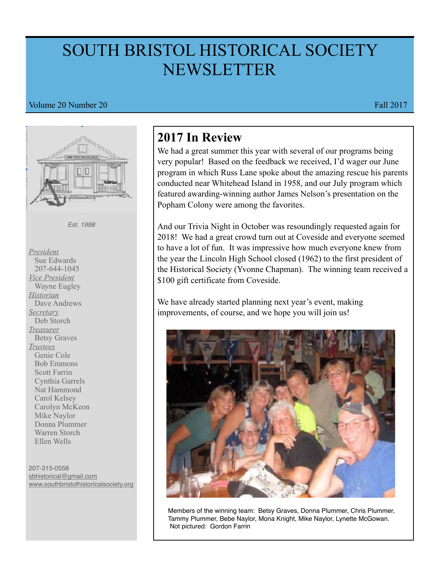# SOUTH BRISTOL HISTORICAL SOCIETY NEWSLETTER

#### Volume 20 Number 20 Fall 2017



207-315-0558 [sbhistorical@gmail.com](mailto:sbhistorical@gmail.com) [www.southbristolhistoricalsociety.org](http://www.southbristolhistoricalsociety.org)

# **2017 In Review**

We had a great summer this year with several of our programs being very popular! Based on the feedback we received, I'd wager our June program in which Russ Lane spoke about the amazing rescue his parents conducted near Whitehead Island in 1958, and our July program which featured awarding-winning author James Nelson's presentation on the Popham Colony were among the favorites.

And our Trivia Night in October was resoundingly requested again for 2018! We had a great crowd turn out at Coveside and everyone seemed to have a lot of fun. It was impressive how much everyone knew from the year the Lincoln High School closed (1962) to the first president of the Historical Society (Yvonne Chapman). The winning team received a \$100 gift certificate from Coveside.

We have already started planning next year's event, making improvements, of course, and we hope you will join us!



 Members of the winning team: Betsy Graves, Donna Plummer, Chris Plummer, Tammy Plummer, Bebe Naylor, Mona Knight, Mike Naylor, Lynette McGowan. Not pictured: Gordon Farrin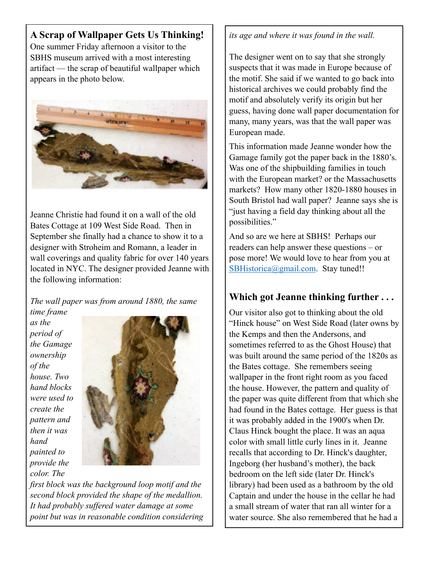### **A Scrap of Wallpaper Gets Us Thinking!**

One summer Friday afternoon a visitor to the SBHS museum arrived with a most interesting artifact — the scrap of beautiful wallpaper which appears in the photo below.



Jeanne Christie had found it on a wall of the old Bates Cottage at 109 West Side Road. Then in September she finally had a chance to show it to a designer with Stroheim and Romann, a leader in wall coverings and quality fabric for over 140 years located in NYC. The designer provided Jeanne with the following information:

*The wall paper was from around 1880, the same* 

*time frame as the period of the Gamage ownership of the house. Two hand blocks were used to create the pattern and then it was hand painted to provide the color. The* 



*first block was the background loop motif and the second block provided the shape of the medallion. It had probably suffered water damage at some point but was in reasonable condition considering* 

#### *its age and where it was found in the wall.*

The designer went on to say that she strongly suspects that it was made in Europe because of the motif. She said if we wanted to go back into historical archives we could probably find the motif and absolutely verify its origin but her guess, having done wall paper documentation for many, many years, was that the wall paper was European made.

This information made Jeanne wonder how the Gamage family got the paper back in the 1880's. Was one of the shipbuilding families in touch with the European market? or the Massachusetts markets? How many other 1820-1880 houses in South Bristol had wall paper? Jeanne says she is "just having a field day thinking about all the possibilities."

And so are we here at SBHS! Perhaps our readers can help answer these questions – or pose more! We would love to hear from you at [SBHistorica@gmail.com](mailto:SBHistorica@gmail.com). Stay tuned!!

## **Which got Jeanne thinking further . . .**

Our visitor also got to thinking about the old "Hinck house" on West Side Road (later owns by the Kemps and then the Andersons, and sometimes referred to as the Ghost House) that was built around the same period of the 1820s as the Bates cottage. She remembers seeing wallpaper in the front right room as you faced the house. However, the pattern and quality of the paper was quite different from that which she had found in the Bates cottage. Her guess is that it was probably added in the 1900's when Dr. Claus Hinck bought the place. It was an aqua color with small little curly lines in it. Jeanne recalls that according to Dr. Hinck's daughter, Ingeborg (her husband's mother), the back bedroom on the left side (later Dr. Hinck's library) had been used as a bathroom by the old Captain and under the house in the cellar he had a small stream of water that ran all winter for a water source. She also remembered that he had a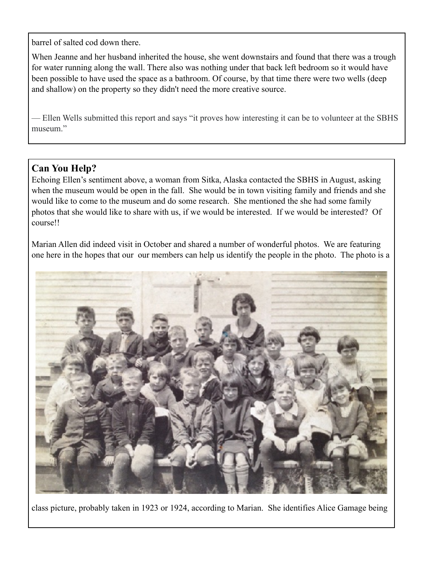barrel of salted cod down there.

When Jeanne and her husband inherited the house, she went downstairs and found that there was a trough for water running along the wall. There also was nothing under that back left bedroom so it would have been possible to have used the space as a bathroom. Of course, by that time there were two wells (deep and shallow) on the property so they didn't need the more creative source.

— Ellen Wells submitted this report and says "it proves how interesting it can be to volunteer at the SBHS museum."

# **Can You Help?**

Echoing Ellen's sentiment above, a woman from Sitka, Alaska contacted the SBHS in August, asking when the museum would be open in the fall. She would be in town visiting family and friends and she would like to come to the museum and do some research. She mentioned the she had some family photos that she would like to share with us, if we would be interested. If we would be interested? Of course!!

Marian Allen did indeed visit in October and shared a number of wonderful photos. We are featuring one here in the hopes that our our members can help us identify the people in the photo. The photo is a



class picture, probably taken in 1923 or 1924, according to Marian. She identifies Alice Gamage being